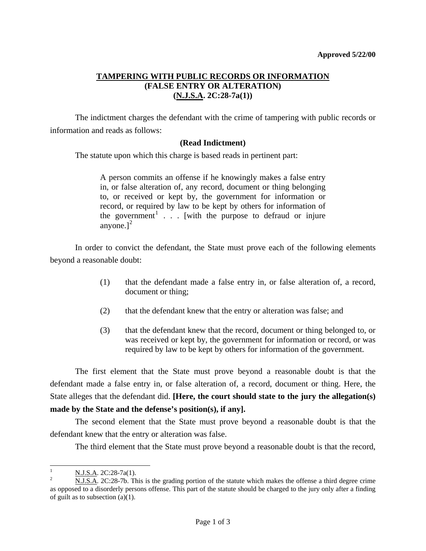## **TAMPERING WITH PUBLIC RECORDS OR INFORMATION (FALSE ENTRY OR ALTERATION) (N.J.S.A. 2C:28-7a(1))**

 The indictment charges the defendant with the crime of tampering with public records or information and reads as follows:

## **(Read Indictment)**

The statute upon which this charge is based reads in pertinent part:

A person commits an offense if he knowingly makes a false entry in, or false alteration of, any record, document or thing belonging to, or received or kept by, the government for information or record, or required by law to be kept by others for information of the government<sup>[1](#page-0-0)</sup> . . . [with the purpose to defraud or injure anyone.] $<sup>2</sup>$  $<sup>2</sup>$  $<sup>2</sup>$ </sup>

 In order to convict the defendant, the State must prove each of the following elements beyond a reasonable doubt:

- (1) that the defendant made a false entry in, or false alteration of, a record, document or thing;
- (2) that the defendant knew that the entry or alteration was false; and
- (3) that the defendant knew that the record, document or thing belonged to, or was received or kept by, the government for information or record, or was required by law to be kept by others for information of the government.

 The first element that the State must prove beyond a reasonable doubt is that the defendant made a false entry in, or false alteration of, a record, document or thing. Here, the State alleges that the defendant did. **[Here, the court should state to the jury the allegation(s) made by the State and the defense's position(s), if any].**

 The second element that the State must prove beyond a reasonable doubt is that the defendant knew that the entry or alteration was false.

The third element that the State must prove beyond a reasonable doubt is that the record,

<span id="page-0-0"></span> $\frac{1}{1}$  $\frac{N. J.S.A.}{N. J.S.A.}$  2C:28-7a(1).

<span id="page-0-1"></span>N.J.S.A. 2C:28-7b. This is the grading portion of the statute which makes the offense a third degree crime as opposed to a disorderly persons offense. This part of the statute should be charged to the jury only after a finding of guilt as to subsection (a)(1).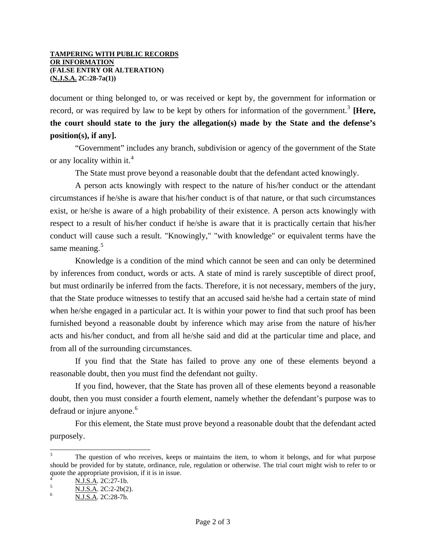document or thing belonged to, or was received or kept by, the government for information or record, or was required by law to be kept by others for information of the government.<sup>[3](#page-1-0)</sup> [Here, **the court should state to the jury the allegation(s) made by the State and the defense's position(s), if any].** 

 "Government" includes any branch, subdivision or agency of the government of the State or any locality within it.<sup>[4](#page-1-1)</sup>

The State must prove beyond a reasonable doubt that the defendant acted knowingly.

 A person acts knowingly with respect to the nature of his/her conduct or the attendant circumstances if he/she is aware that his/her conduct is of that nature, or that such circumstances exist, or he/she is aware of a high probability of their existence. A person acts knowingly with respect to a result of his/her conduct if he/she is aware that it is practically certain that his/her conduct will cause such a result. "Knowingly," "with knowledge" or equivalent terms have the same meaning.<sup>[5](#page-1-2)</sup>

 Knowledge is a condition of the mind which cannot be seen and can only be determined by inferences from conduct, words or acts. A state of mind is rarely susceptible of direct proof, but must ordinarily be inferred from the facts. Therefore, it is not necessary, members of the jury, that the State produce witnesses to testify that an accused said he/she had a certain state of mind when he/she engaged in a particular act. It is within your power to find that such proof has been furnished beyond a reasonable doubt by inference which may arise from the nature of his/her acts and his/her conduct, and from all he/she said and did at the particular time and place, and from all of the surrounding circumstances.

 If you find that the State has failed to prove any one of these elements beyond a reasonable doubt, then you must find the defendant not guilty.

 If you find, however, that the State has proven all of these elements beyond a reasonable doubt, then you must consider a fourth element, namely whether the defendant's purpose was to defraud or injure anyone.<sup>[6](#page-1-3)</sup>

 For this element, the State must prove beyond a reasonable doubt that the defendant acted purposely.

l

<span id="page-1-0"></span><sup>3</sup> The question of who receives, keeps or maintains the item, to whom it belongs, and for what purpose should be provided for by statute, ordinance, rule, regulation or otherwise. The trial court might wish to refer to or quote the appropriate provision, if it is in issue.

<span id="page-1-1"></span><sup>4</sup>  $\frac{N.I.S.A.}{N.I.S.A.}$  2C:27-1b.

<span id="page-1-3"></span><span id="page-1-2"></span> $\frac{N.J.S.A.}{N.I.S.A.}$  2C:2-2b(2).

N.J.S.A. 2C:28-7b.